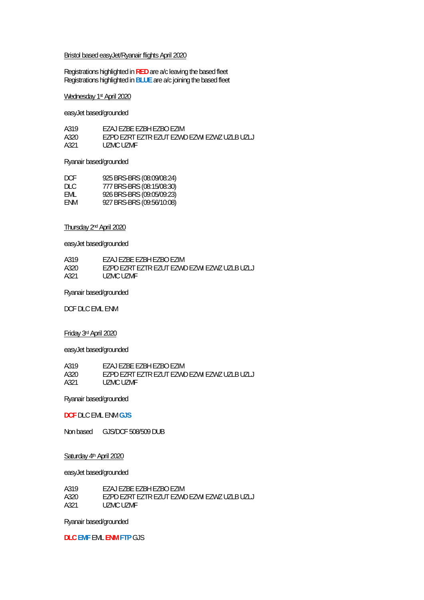#### Bristol based easyJet/Ryanair flights April 2020

Registrations highlighted in **RED** are a/c leaving the based fleet Registrations highlighted in **BLUE** are a/c joining the based fleet

# Wednesday 1st April 2020

#### easyJet based/grounded

| A319 | FZAJ FZBE FZBH FZBO FZIM                     |
|------|----------------------------------------------|
| A320 | EZPD EZRT EZTR EZUT EZWD EZWI EZWZ UZLB UZLJ |
| A321 | UZMC UZME                                    |

#### Ryanair based/grounded

| DCE        | 925 BRS-BRS (08:09/08:24) |
|------------|---------------------------|
| DI C       | 777 BRS-BRS (08:15/08:30) |
| EMI.       | 926 BRS-BRS (09:05/09:23) |
| <b>FNM</b> | 927 BRS-BRS (09:56/10:08) |

# Thursday 2nd April 2020

easyJet based/grounded

| A319 | EZAJ EZBE EZBH EZBO EZIM                    |
|------|---------------------------------------------|
| A320 | EZPD EZRT EZTR EZUT EZWD EZWLEZWZ UZLB UZLJ |
| A321 | UZMC UZME                                   |

Ryanair based/grounded

DCF DLC EML ENM

# Friday 3rd April 2020

easyJet based/grounded

| A319 | EZAJ EZBE EZBH EZBO EZIM                    |
|------|---------------------------------------------|
| A320 | EZPD EZRT EZTR EZUT EZWD EZWLEZWZ UZLB UZLJ |
| A321 | UZMC UZME                                   |

# Ryanair based/grounded

#### **DCF** DLC EML ENM **GJS**

Non based GJS/DCF 508/509 DUB

# Saturday 4<sup>th</sup> April 2020

easyJet based/grounded

| A319 | <b>FZAJ FZBE FZBH FZBO FZIM</b>             |
|------|---------------------------------------------|
| A320 | EZPD EZRT EZTR EZUT EZWD EZWLEZWZ UZLB UZLJ |
| A321 | UZMC UZME                                   |

# Ryanair based/grounded

**DLC EMF** EML **ENM FTP** GJS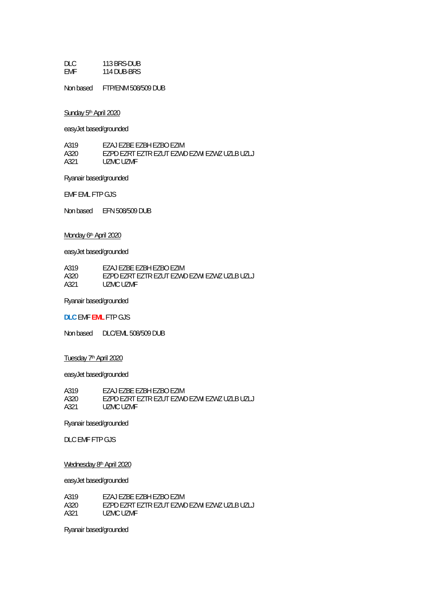| DLC | 113 BRS-DUB |
|-----|-------------|
| EMF | 114 DUB-BRS |

Non based FTP/ENM 508/509 DUB

Sunday 5<sup>th</sup> April 2020

easyJet based/grounded

A319 EZAJ EZBE EZBH EZBO EZIM<br>A320 EZPD EZRT EZTR EZUT EZWE A320 EZPD EZRT EZTR EZUT EZWD EZWI EZWZ UZLB UZLJ<br>A321 UZMC UZMF UZMC UZMF

Ryanair based/grounded

EMF EML FTP GJS

Non based EFN 508/509 DUB

# Monday 6th April 2020

easyJet based/grounded

| A319 | EZAJ EZBE EZBH EZBO EZIM                    |
|------|---------------------------------------------|
| A320 | EZPD EZRT EZTR EZUT EZWD EZWLEZWZ UZLB UZLJ |
| A321 | UZMC UZME                                   |

Ryanair based/grounded

# **DLC** EMF **EML** FTP GJS

Non based DLC/EML 508/509 DUB

# Tuesday 7th April 2020

easyJet based/grounded

| A319 | <b>FZAJ FZBE FZBH FZBO FZIM</b>             |
|------|---------------------------------------------|
| A320 | EZPD EZRT EZTR EZUT EZWD EZWLEZWZ UZLB UZLJ |
| A321 | UZMC UZME                                   |

Ryanair based/grounded

DLC EMF FTP GJS

# Wednesday 8<sup>th</sup> April 2020

easyJet based/grounded

| A319 | FZAJ FZBE FZBH FZBO FZIM                     |
|------|----------------------------------------------|
| A320 | EZPD EZRT EZTR EZUT EZWD EZWI EZWZ UZLB UZLJ |
| A321 | UZMC UZME                                    |

Ryanair based/grounded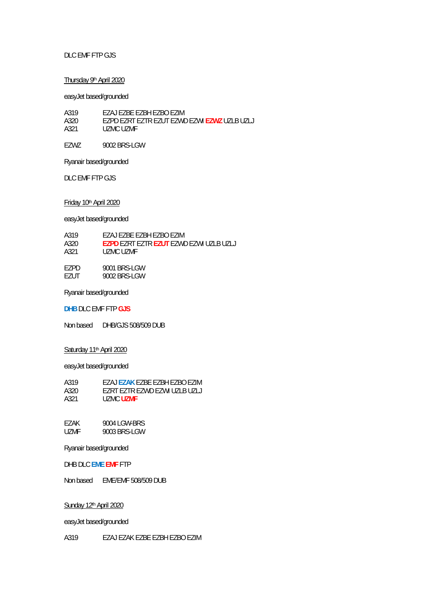# DLC EMF FTP GJS

# Thursday 9th April 2020

easyJet based/grounded

| A319 | FZAJ FZBE FZBH FZBO FZIM                     |
|------|----------------------------------------------|
| A320 | EZPD EZRT EZTR EZUT EZWD EZWI EZWZ UZLB UZLJ |
| A321 | UZMC UZME                                    |

EZWZ 9002 BRS-LGW

Ryanair based/grounded

DLC EMF FTP GJS

Friday 10th April 2020

easyJet based/grounded

| A319  | FZAJ FZBE FZBH FZBO FZIM                      |
|-------|-----------------------------------------------|
| A320  | <b>FZPD FZRT FZTR FZUT FZWD FZWLUZLB UZLJ</b> |
| A321  | UZMC UZME                                     |
|       |                                               |
| F7PD. | 9001 BRS-LGW                                  |

EZUT 9002 BRS-LGW

Ryanair based/grounded

#### **DHB** DLC EMF FTP **GJS**

Non based DHB/GJS 508/509 DUB

# Saturday 11<sup>th</sup> April 2020

easyJet based/grounded

| A319 | FZAJ FZAK FZBF FZBH FZBO FZIM |
|------|-------------------------------|
| A320 | EZRT EZTR EZWD EZWLUZLB UZLL  |
| A321 | UZMC UZMF                     |

| EZAK | 9004 LGW-BRS |
|------|--------------|
| UZMF | 9003 BRS-LGW |

Ryanair based/grounded

DHB DLC **EME EMF** FTP

Non based EME/EMF 508/509 DUB

# Sunday 12<sup>th</sup> April 2020

easyJet based/grounded

A319 EZAJ EZAK EZBE EZBH EZBO EZIM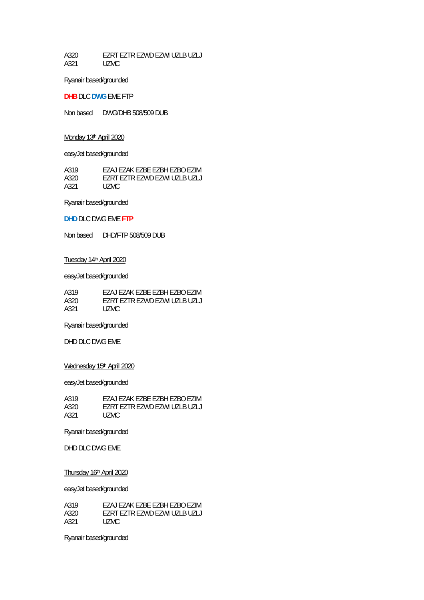A320 EZRT EZTR EZWD EZWI UZLB UZLJ A321 UZMC

Ryanair based/grounded

#### **DHB** DLC **DWG** EME FTP

Non based DWG/DHB 508/509 DUB

# Monday 13<sup>th</sup> April 2020

easyJet based/grounded

| A319 | EZAJ EZAK EZBE EZBH EZBO EZIM |
|------|-------------------------------|
| A320 | EZRT EZTR EZWD EZWLUZLB UZLL  |
| A321 | UZMC.                         |

Ryanair based/grounded

# **DHD** DLC DWG EME **FTP**

Non based DHD/FTP 508/509 DUB

# Tuesday 14th April 2020

easyJet based/grounded

| A319 | FZAJ FZAK FZBF FZBH FZBO FZIM |
|------|-------------------------------|
| A320 | FZRT FZTR FZWD FZWLUZLB UZLJ  |
| A321 | UZMC.                         |

Ryanair based/grounded

DHD DLC DWG EME

# Wednesday 15<sup>th</sup> April 2020

easyJet based/grounded

| A319 | FZAJ FZAK FZBF FZBH FZBO FZIM |
|------|-------------------------------|
| A320 | EZRT EZTR EZWD EZWI UZLB UZLJ |
| A321 | UZMC.                         |

Ryanair based/grounded

DHD DLC DWG EME

# Thursday 16th April 2020

easyJet based/grounded

| A319 | FZAJ FZAK FZBF FZBH FZBO FZIM |
|------|-------------------------------|
| A320 | FZRT FZTR FZWD FZWLUZLB UZLJ  |
| A321 | UZMC.                         |

Ryanair based/grounded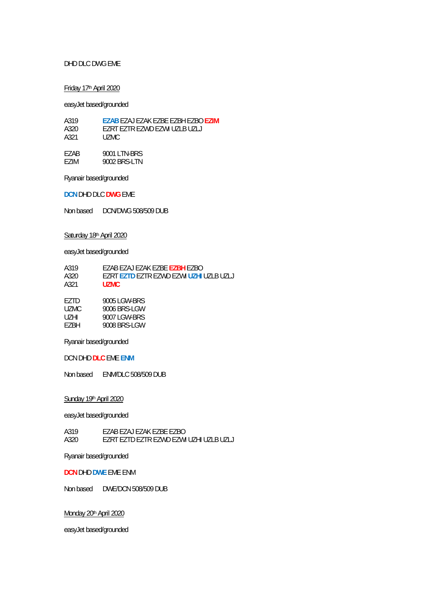# DHD DLC DWG EME

# Friday 17th April 2020

easyJet based/grounded

| A319 | <b>FZAB FZAJ FZAK FZBF FZBH FZBO FZIM</b> |
|------|-------------------------------------------|
| A320 | EZRT EZTR EZWD EZWLUZLB UZLJ              |
| A321 | UZMC.                                     |
| F7AB | 9001 LTN-BRS                              |
| F7IM | 9002 BRS-LTN                              |

Ryanair based/grounded

**DCN** DHD DLC **DWG** EME

Non based DCN/DWG 508/509 DUB

# Saturday 18th April 2020

easyJet based/grounded

| A319  | F7AB F7AJ F7AK F7BF <b>F7BH</b> F7BO  |  |
|-------|---------------------------------------|--|
| A320  | FZRT FZTD FZTR FZWD FZWLUZHLUZLB UZLJ |  |
| A321  | UZMC.                                 |  |
|       |                                       |  |
| F7TD. | 9005 LGW-BRS                          |  |
| UZMC  | 9006 BRS-LGW                          |  |

| $\mathbf{u}$ . $\mathbf{v}$ | $1.9992$ PLC $2.999$ |
|-----------------------------|----------------------|
| UZHI.                       | 9007 LGW-BRS         |
| F7BH                        | 9008 BRS-LGW         |
|                             |                      |

Ryanair based/grounded

DCN DHD **DLC** EME **ENM**

Non based ENM/DLC 508/509 DUB

Sunday 19th April 2020

easyJet based/grounded

A319 EZAB EZAJ EZAK EZBE EZBO A320 EZRT EZTD EZTR EZWD EZWI UZHI UZLB UZLJ

Ryanair based/grounded

**DCN** DHD **DWE** EME ENM

Non based DWE/DCN 508/509 DUB

Monday 20<sup>th</sup> April 2020

easyJet based/grounded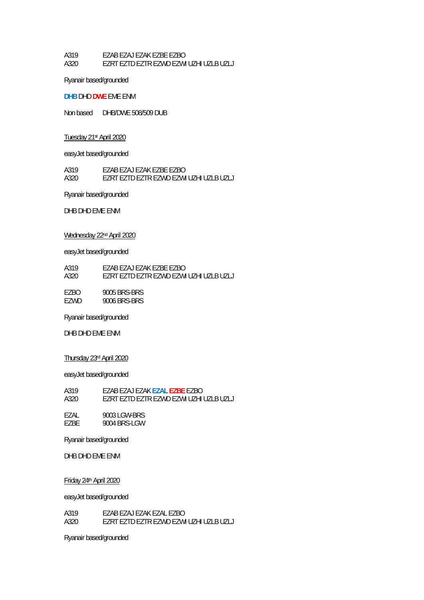#### A319 EZAB EZAJ EZAK EZBE EZBO A320 EZRT EZTD EZTR EZWD EZWI UZHI UZLB UZLJ

Ryanair based/grounded

#### **DHB** DHD **DWE** EME ENM

Non based DHB/DWE 508/509 DUB

#### Tuesday 21st April 2020

easyJet based/grounded

A319 EZAB EZAJ EZAK EZBE EZBO<br>A320 EZRT EZTD EZTR EZWD EZWI EZRT EZTD EZTR EZWD EZWI UZHI UZLB UZLJ

Ryanair based/grounded

DHB DHD EME ENM

#### Wednesday 22nd April 2020

easyJet based/grounded

| A319  | FZAB FZAJ FZAK FZBF FZBO                      |
|-------|-----------------------------------------------|
| A320  | <u>EZRT EZTD EZTR EZWD EZWLUZHLUZLB UZLJ.</u> |
| F7BO  | 9005 BRS-BRS                                  |
| F7WD. | 9006 BRS-BRS                                  |

Ryanair based/grounded

DHB DHD EME ENM

# Thursday 23rd April 2020

easyJet based/grounded

| A319 | EZAB EZAJ EZAK EZAL EZBE EZBO         |
|------|---------------------------------------|
| A320 | FZRT FZTD FZTR FZWD FZWLUZHLUZLB UZLJ |

EZAL 9003 LGW-BRS<br>EZBE 9004 BRS-LGW 9004 BRS-LGW

Ryanair based/grounded

DHB DHD EME ENM

Friday 24th April 2020

easyJet based/grounded

| A319 | EZAB EZAJ EZAK EZAL EZBO                |
|------|-----------------------------------------|
| A320 | EZRT EZTD EZTR EZWD EZWI UZHI UZLB UZLJ |

Ryanair based/grounded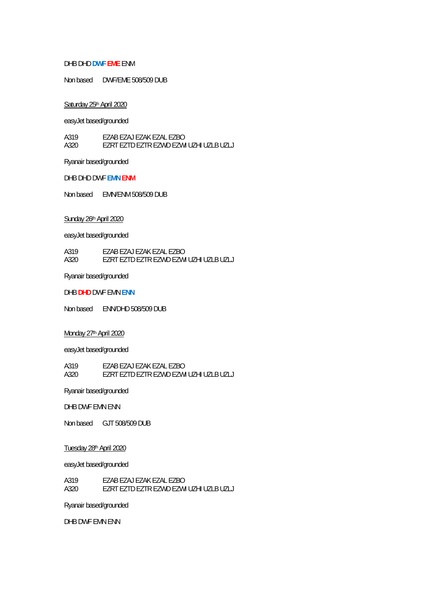#### DHB DHD **DWF EME** ENM

Non based DWF/EME 508/509 DUB

# Saturday 25th April 2020

easyJet based/grounded

| A319 | EZAB EZAJ EZAK EZAL EZBO              |
|------|---------------------------------------|
| A320 | FZRT FZTD FZTR FZWD FZWLUZHLUZLB UZLJ |

Ryanair based/grounded

DHB DHD DWF **EMN ENM**

Non based EMN/ENM 508/509 DUB

# Sunday 26<sup>th</sup> April 2020

easyJet based/grounded

A319 EZAB EZAJ EZAK EZAL EZBO A320 EZRT EZTD EZTR EZWD EZWI UZHI UZLB UZLJ

Ryanair based/grounded

DHB **DHD** DWF EMN **ENN**

Non based ENN/DHD 508/509 DUB

# Monday 27<sup>th</sup> April 2020

easyJet based/grounded

| A319 | EZAB EZAJ EZAK EZAL EZBO              |
|------|---------------------------------------|
| A320 | FZRT FZTD FZTR FZWD FZWLUZHLUZLB UZLJ |

Ryanair based/grounded

DHB DWF EMN ENN

Non based GJT 508/509 DUB

#### Tuesday 28th April 2020

easyJet based/grounded

| A319 | EZAB EZAJ EZAK EZAL EZBO                |
|------|-----------------------------------------|
| A320 | EZRT EZTD EZTR EZWD EZWI UZHI UZLB UZLJ |

Ryanair based/grounded

DHB DWF EMN ENN